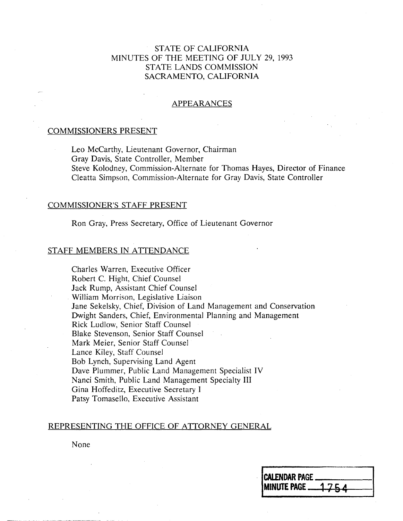## STATE OF CALIFORNIA MINUTES OF THE MEETING OF JULY 29, 1993 STATE LANDS COMMISSION SACRAMENTO, CALIFORNIA

### APPEARANCES

### COMMISSIONERS PRESENT

Leo Mccarthy, Lieutenant Governor, Chairman Gray Davis, State Controller, Member Steve Kolodney, Commission-Alternate for Thomas Hayes, Director of Finance Cleatta Simpson, Commission-Alternate for Gray Davis, State Controller

#### COMMISSIONER'S STAFF PRESENT

Ron Gray, Press Secretary, Office of Lieutenant Governor

### STAFF MEMBERS IN ATTENDANCE

Charles Warren, Executive Officer Robert C. Hight, Chief Counsel Jack Rump, Assistant Chief Counsel William Morrison, Legislative Liaison Jane Sekelsky, Chief, Division of Land Management and Conservation Dwight Sanders, Chief, Environmental Planning and Management Rick Ludlow, Senior Staff Counsel Blake Stevenson, Senior Staff Counsel Mark Meier, Senior Staff Counsel Lance Kiley, Staff Counsel Bob Lynch, Supervising Land Agent Dave Plummer, Public Land Management Specialist IV Nanci Smith, Public Land Management Specialty III Gina Hoffeditz, Executive Secretary I Patsy Tomasello, Executive Assistant

### REPRESENTING THE OFFICE OF ATTORNEY GENERAL

None

| <b>CALENDAR PAGE </b>                  |  |
|----------------------------------------|--|
| <b>IMINUTE PAGE <math>-1754</math></b> |  |
|                                        |  |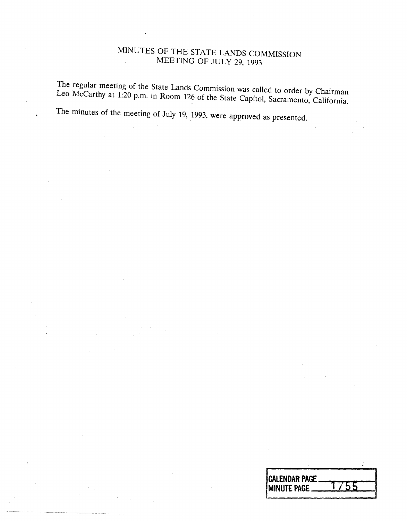# MINUTES OF THE STATE LANDS COMMISSION MEETING OF JULY 29, 1993

Leo McCarthy at 1:20 n m in Boom 126, 6:1  $\alpha$  called to order by Chairman Leo McCarthy at 1:20 n m in Boom 126, 6:1  $\alpha$  $L^2$  at  $1.20$  p.m. in Room 120 of the State Capitol, Sacramento, California.

The minutes of the meeting of July 19, 1993, were approved as presented.

| <b>CALENDAR PAGE</b><br><b>IMINUTE PAGE</b> |
|---------------------------------------------|
|                                             |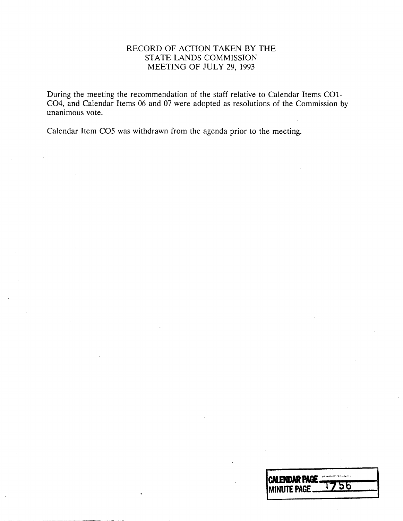## RECORD OF ACTION TAKEN BY THE STATE LANDS COMMISSION MEETING OF JULY 29, 1993

During the meeting the recommendation of the staff relative to Calendar Items CO1- CO4, and Calendar Items 06 and 07 were adopted as resolutions of the Commission by unanimous vote.

Calendar Item CO5 was withdrawn from the agenda prior to the meeting.

| <b>ICALENDAR PAGE </b> | enksakultaation heimineksi oli k |
|------------------------|----------------------------------|
| <b>IMINUTE PAGE _</b>  | 1756                             |
|                        |                                  |